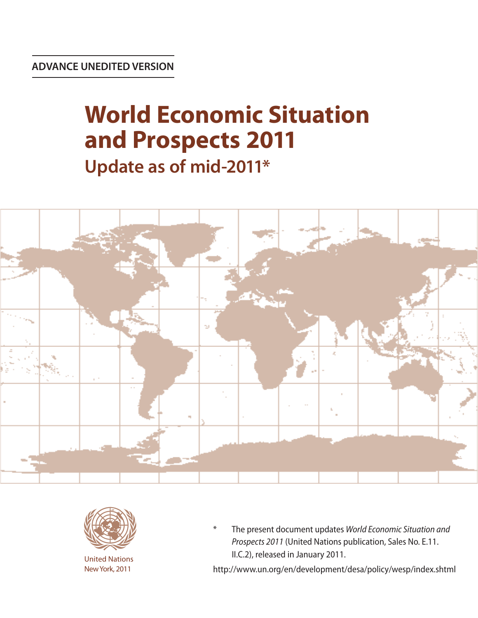# **World Economic Situation and Prospects 2011 Update as of mid-2011\***





United Nations New York, 2011

\* The present document updates *World Economic Situation and Prospects 2011* (United Nations publication, Sales No. E.11. II.C.2), released in January 2011.

http://www.un.org/en/development/desa/policy/wesp/index.shtml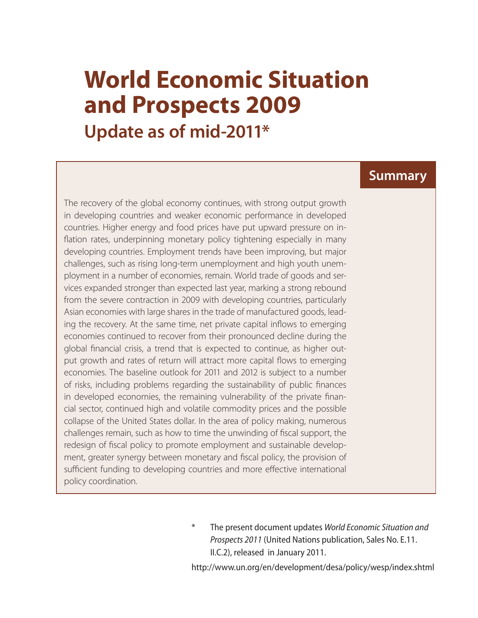# **World Economic Situation and Prospects 2009 Update as of mid-2011\***

#### The recovery of the global economy continues, with strong output growth in developing countries and weaker economic performance in developed countries. Higher energy and food prices have put upward pressure on inflation rates, underpinning monetary policy tightening especially in many developing countries. Employment trends have been improving, but major challenges, such as rising long-term unemployment and high youth unemployment in a number of economies, remain. World trade of goods and services expanded stronger than expected last year, marking a strong rebound from the severe contraction in 2009 with developing countries, particularly Asian economies with large shares in the trade of manufactured goods, leading the recovery. At the same time, net private capital inflows to emerging economies continued to recover from their pronounced decline during the global financial crisis, a trend that is expected to continue, as higher output growth and rates of return will attract more capital flows to emerging economies. The baseline outlook for 2011 and 2012 is subject to a number of risks, including problems regarding the sustainability of public finances in developed economies, the remaining vulnerability of the private financial sector, continued high and volatile commodity prices and the possible collapse of the United States dollar. In the area of policy making, numerous challenges remain, such as how to time the unwinding of fiscal support, the redesign of fiscal policy to promote employment and sustainable development, greater synergy between monetary and fiscal policy, the provision of sufficient funding to developing countries and more effective international policy coordination.

\* The present document updates *World Economic Situation and Prospects 2011* (United Nations publication, Sales No. E.11. II.C.2), released in January 2011.

**Summary**

http://www.un.org/en/development/desa/policy/wesp/index.shtml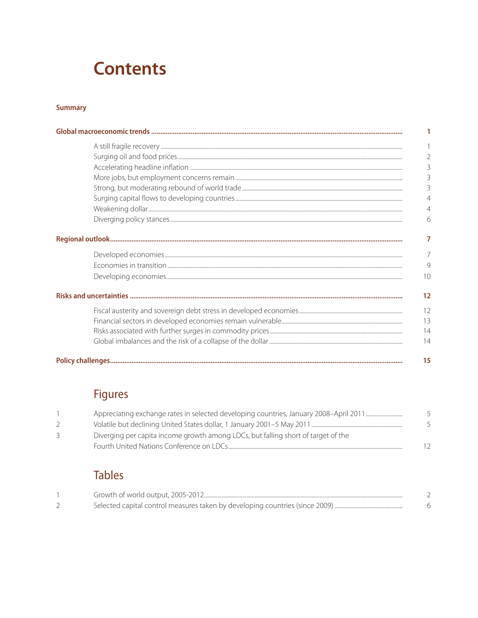## **Contents**

#### **Summary**

| 3              |
|----------------|
|                |
| 3              |
| $\overline{4}$ |
|                |
|                |
| 7              |
|                |
| $\mathcal{Q}$  |
| 10             |
| 12             |
| 12             |
| 13             |
| 14             |
| 14             |
| 15             |

### Figures

|               | Appreciating exchange rates in selected developing countries, January 2008-April 2011 |  |
|---------------|---------------------------------------------------------------------------------------|--|
| $\mathcal{L}$ |                                                                                       |  |
| 3             | Diverging per capita income growth among LDCs, but falling short of target of the     |  |
|               | Fourth United Nations Conference on LDCs                                              |  |

### **Tables**

| Growth of world output, 2005-2012 |  |
|-----------------------------------|--|
|                                   |  |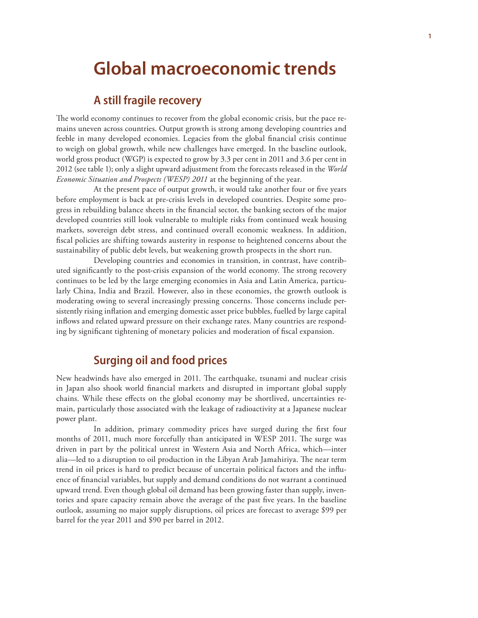## **Global macroeconomic trends**

#### **A still fragile recovery**

The world economy continues to recover from the global economic crisis, but the pace remains uneven across countries. Output growth is strong among developing countries and feeble in many developed economies. Legacies from the global financial crisis continue to weigh on global growth, while new challenges have emerged. In the baseline outlook, world gross product (WGP) is expected to grow by 3.3 per cent in 2011 and 3.6 per cent in 2012 (see table 1); only a slight upward adjustment from the forecasts released in the *World Economic Situation and Prospects (WESP) 2011* at the beginning of the year.

At the present pace of output growth, it would take another four or five years before employment is back at pre-crisis levels in developed countries. Despite some progress in rebuilding balance sheets in the financial sector, the banking sectors of the major developed countries still look vulnerable to multiple risks from continued weak housing markets, sovereign debt stress, and continued overall economic weakness. In addition, fiscal policies are shifting towards austerity in response to heightened concerns about the sustainability of public debt levels, but weakening growth prospects in the short run.

Developing countries and economies in transition, in contrast, have contributed significantly to the post-crisis expansion of the world economy. The strong recovery continues to be led by the large emerging economies in Asia and Latin America, particularly China, India and Brazil. However, also in these economies, the growth outlook is moderating owing to several increasingly pressing concerns. Those concerns include persistently rising inflation and emerging domestic asset price bubbles, fuelled by large capital inflows and related upward pressure on their exchange rates. Many countries are responding by significant tightening of monetary policies and moderation of fiscal expansion.

#### **Surging oil and food prices**

New headwinds have also emerged in 2011. The earthquake, tsunami and nuclear crisis in Japan also shook world financial markets and disrupted in important global supply chains. While these effects on the global economy may be shortlived, uncertainties remain, particularly those associated with the leakage of radioactivity at a Japanese nuclear power plant.

In addition, primary commodity prices have surged during the first four months of 2011, much more forcefully than anticipated in WESP 2011. The surge was driven in part by the political unrest in Western Asia and North Africa, which—inter alia—led to a disruption to oil production in the Libyan Arab Jamahiriya. The near term trend in oil prices is hard to predict because of uncertain political factors and the influence of financial variables, but supply and demand conditions do not warrant a continued upward trend. Even though global oil demand has been growing faster than supply, inventories and spare capacity remain above the average of the past five years. In the baseline outlook, assuming no major supply disruptions, oil prices are forecast to average \$99 per barrel for the year 2011 and \$90 per barrel in 2012.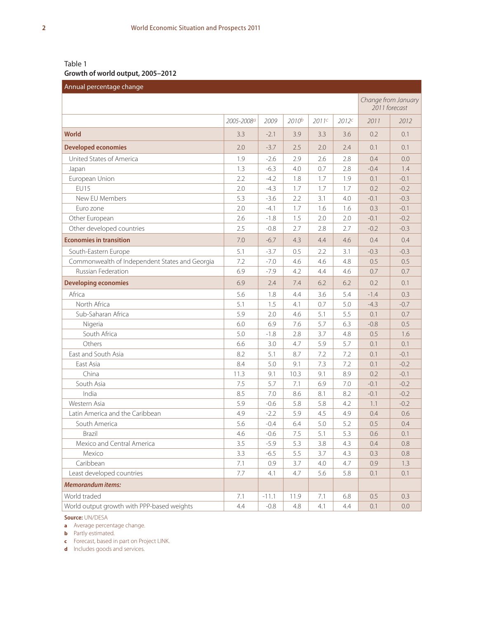#### Table 1 **Growth of world output, 2005–2012**

| Annual percentage change                       |            |         |       |       |       |                                      |        |
|------------------------------------------------|------------|---------|-------|-------|-------|--------------------------------------|--------|
|                                                |            |         |       |       |       | Change from January<br>2011 forecast |        |
|                                                | 2005-2008a | 2009    | 2010b | 2011c | 2012c | 2011                                 | 2012   |
| <b>World</b>                                   | 3.3        | $-2.1$  | 3.9   | 3.3   | 3.6   | 0.2                                  | 0.1    |
| <b>Developed economies</b>                     | 2.0        | $-3.7$  | 2.5   | 2.0   | 2.4   | 0.1                                  | 0.1    |
| United States of America                       | 1.9        | $-2.6$  | 2.9   | 2.6   | 2.8   | 0.4                                  | 0.0    |
| Japan                                          | 1.3        | $-6.3$  | 4.0   | 0.7   | 2.8   | $-0.4$                               | 1.4    |
| European Union                                 | 2.2        | $-4.2$  | 1.8   | 1.7   | 1.9   | 0.1                                  | $-0.1$ |
| <b>EU15</b>                                    | 2.0        | $-4.3$  | 1.7   | 1.7   | 1.7   | 0.2                                  | $-0.2$ |
| New EU Members                                 | 5.3        | $-3.6$  | 2.2   | 3.1   | 4.0   | $-0.1$                               | $-0.3$ |
| Euro zone                                      | 2.0        | $-4.1$  | 1.7   | 1.6   | 1.6   | 0.3                                  | $-0.1$ |
| Other European                                 | 2.6        | $-1.8$  | 1.5   | 2.0   | 2.0   | $-0.1$                               | $-0.2$ |
| Other developed countries                      | 2.5        | $-0.8$  | 2.7   | 2.8   | 2.7   | $-0.2$                               | $-0.3$ |
| <b>Economies in transition</b>                 | 7.0        | $-6.7$  | 4.3   | 4.4   | 4.6   | 0.4                                  | 0.4    |
| South-Eastern Europe                           | 5.1        | $-3.7$  | 0.5   | 2.2   | 3.1   | $-0.3$                               | $-0.3$ |
| Commonwealth of Independent States and Georgia | 7.2        | $-7.0$  | 4.6   | 4.6   | 4.8   | 0.5                                  | 0.5    |
| <b>Russian Federation</b>                      | 6.9        | $-7.9$  | 4.2   | 4.4   | 4.6   | 0.7                                  | 0.7    |
| <b>Developing economies</b>                    | 6.9        | 2.4     | 7.4   | 6.2   | 6.2   | 0.2                                  | 0.1    |
| Africa                                         | 5.6        | 1.8     | 4.4   | 3.6   | 5.4   | $-1.4$                               | 0.3    |
| North Africa                                   | 5.1        | 1.5     | 4.1   | 0.7   | 5.0   | $-4.3$                               | $-0.7$ |
| Sub-Saharan Africa                             | 5.9        | 2.0     | 4.6   | 5.1   | 5.5   | 0.1                                  | 0.7    |
| Nigeria                                        | 6.0        | 6.9     | 7.6   | 5.7   | 6.3   | $-0.8$                               | 0.5    |
| South Africa                                   | 5.0        | $-1.8$  | 2.8   | 3.7   | 4.8   | 0.5                                  | 1.6    |
| Others                                         | 6.6        | 3.0     | 4.7   | 5.9   | 5.7   | 0.1                                  | 0.1    |
| East and South Asia                            | 8.2        | 5.1     | 8.7   | 7.2   | 7.2   | 0.1                                  | $-0.1$ |
| East Asia                                      | 8.4        | 5.0     | 9.1   | 7.3   | 7.2   | 0.1                                  | $-0.2$ |
| China                                          | 11.3       | 9.1     | 10.3  | 9.1   | 8.9   | 0.2                                  | $-0.1$ |
| South Asia                                     | 7.5        | 5.7     | 7.1   | 6.9   | 7.0   | $-0.1$                               | $-0.2$ |
| India                                          | 8.5        | 7.0     | 8.6   | 8.1   | 8.2   | $-0.1$                               | $-0.2$ |
| Western Asia                                   | 5.9        | $-0.6$  | 5.8   | 5.8   | 4.2   | 1.1                                  | $-0.2$ |
| Latin America and the Caribbean                | 4.9        | $-2.2$  | 5.9   | 4.5   | 4.9   | 0.4                                  | 0.6    |
| South America                                  | 5.6        | $-0.4$  | 6.4   | 5.0   | 5.2   | 0.5                                  | 0.4    |
| Brazil                                         | 4.6        | $-0.6$  | 7.5   | 5.1   | 5.3   | 0.6                                  | 0.1    |
| Mexico and Central America                     | 3.5        | $-5.9$  | 5.3   | 3.8   | 4.3   | 0.4                                  | 0.8    |
| Mexico                                         | 3.3        | $-6.5$  | 5.5   | 3.7   | 4.3   | 0.3                                  | 0.8    |
| Caribbean                                      | 7.1        | 0.9     | 3.7   | 4.0   | 4.7   | 0.9                                  | 1.3    |
| Least developed countries                      | 7.7        | 4.1     | 4.7   | 5.6   | 5.8   | 0.1                                  | 0.1    |
| <b>Memorandum items:</b>                       |            |         |       |       |       |                                      |        |
| World traded                                   | 7.1        | $-11.1$ | 11.9  | 7.1   | 6.8   | 0.5                                  | 0.3    |
| World output growth with PPP-based weights     | 4.4        | $-0.8$  | 4.8   | 4.1   | 4.4   | 0.1                                  | 0.0    |

**Source:** UN/DESA

**a** Average percentage change.

**b** Partly estimated.

**c** Forecast, based in part on Project LINK.

**d** Includes goods and services.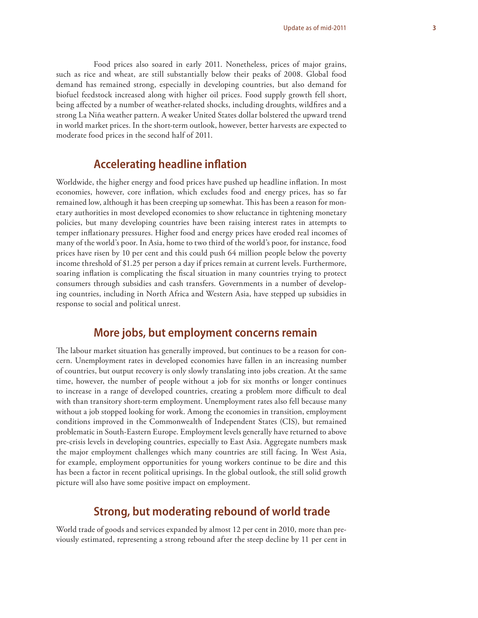#### Food prices also soared in early 2011. Nonetheless, prices of major grains, such as rice and wheat, are still substantially below their peaks of 2008. Global food demand has remained strong, especially in developing countries, but also demand for biofuel feedstock increased along with higher oil prices. Food supply growth fell short, being affected by a number of weather-related shocks, including droughts, wildfires and a

strong La Niña weather pattern. A weaker United States dollar bolstered the upward trend in world market prices. In the short-term outlook, however, better harvests are expected to moderate food prices in the second half of 2011.

#### **Accelerating headline inflation**

Worldwide, the higher energy and food prices have pushed up headline inflation. In most economies, however, core inflation, which excludes food and energy prices, has so far remained low, although it has been creeping up somewhat. This has been a reason for monetary authorities in most developed economies to show reluctance in tightening monetary policies, but many developing countries have been raising interest rates in attempts to temper infl ationary pressures. Higher food and energy prices have eroded real incomes of many of the world's poor. In Asia, home to two third of the world's poor, for instance, food prices have risen by 10 per cent and this could push 64 million people below the poverty income threshold of \$1.25 per person a day if prices remain at current levels. Furthermore, soaring inflation is complicating the fiscal situation in many countries trying to protect consumers through subsidies and cash transfers. Governments in a number of developing countries, including in North Africa and Western Asia, have stepped up subsidies in response to social and political unrest.

#### **More jobs, but employment concerns remain**

The labour market situation has generally improved, but continues to be a reason for concern. Unemployment rates in developed economies have fallen in an increasing number of countries, but output recovery is only slowly translating into jobs creation. At the same time, however, the number of people without a job for six months or longer continues to increase in a range of developed countries, creating a problem more difficult to deal with than transitory short-term employment. Unemployment rates also fell because many without a job stopped looking for work. Among the economies in transition, employment conditions improved in the Commonwealth of Independent States (CIS), but remained problematic in South-Eastern Europe. Employment levels generally have returned to above pre-crisis levels in developing countries, especially to East Asia. Aggregate numbers mask the major employment challenges which many countries are still facing. In West Asia, for example, employment opportunities for young workers continue to be dire and this has been a factor in recent political uprisings. In the global outlook, the still solid growth picture will also have some positive impact on employment.

#### **Strong, but moderating rebound of world trade**

World trade of goods and services expanded by almost 12 per cent in 2010, more than previously estimated, representing a strong rebound after the steep decline by 11 per cent in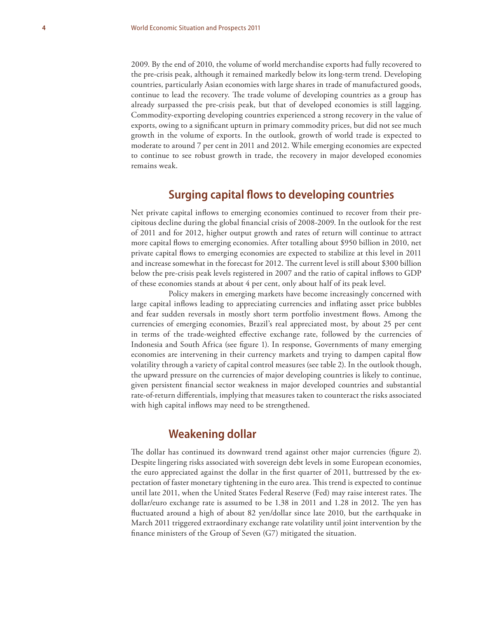2009. By the end of 2010, the volume of world merchandise exports had fully recovered to the pre-crisis peak, although it remained markedly below its long-term trend. Developing countries, particularly Asian economies with large shares in trade of manufactured goods, continue to lead the recovery. The trade volume of developing countries as a group has already surpassed the pre-crisis peak, but that of developed economies is still lagging. Commodity-exporting developing countries experienced a strong recovery in the value of exports, owing to a significant upturn in primary commodity prices, but did not see much growth in the volume of exports. In the outlook, growth of world trade is expected to moderate to around 7 per cent in 2011 and 2012. While emerging economies are expected to continue to see robust growth in trade, the recovery in major developed economies remains weak.

#### **Surging capital flows to developing countries**

Net private capital inflows to emerging economies continued to recover from their precipitous decline during the global financial crisis of 2008-2009. In the outlook for the rest of 2011 and for 2012, higher output growth and rates of return will continue to attract more capital flows to emerging economies. After totalling about \$950 billion in 2010, net private capital flows to emerging economies are expected to stabilize at this level in 2011 and increase somewhat in the forecast for 2012. The current level is still about \$300 billion below the pre-crisis peak levels registered in 2007 and the ratio of capital inflows to GDP of these economies stands at about 4 per cent, only about half of its peak level.

Policy makers in emerging markets have become increasingly concerned with large capital inflows leading to appreciating currencies and inflating asset price bubbles and fear sudden reversals in mostly short term portfolio investment flows. Among the currencies of emerging economies, Brazil's real appreciated most, by about 25 per cent in terms of the trade-weighted effective exchange rate, followed by the currencies of Indonesia and South Africa (see figure 1). In response, Governments of many emerging economies are intervening in their currency markets and trying to dampen capital flow volatility through a variety of capital control measures (see table 2). In the outlook though, the upward pressure on the currencies of major developing countries is likely to continue, given persistent financial sector weakness in major developed countries and substantial rate-of-return differentials, implying that measures taken to counteract the risks associated with high capital inflows may need to be strengthened.

#### **Weakening dollar**

The dollar has continued its downward trend against other major currencies (figure 2). Despite lingering risks associated with sovereign debt levels in some European economies, the euro appreciated against the dollar in the first quarter of 2011, buttressed by the expectation of faster monetary tightening in the euro area. This trend is expected to continue until late 2011, when the United States Federal Reserve (Fed) may raise interest rates. The dollar/euro exchange rate is assumed to be 1.38 in 2011 and 1.28 in 2012. The yen has fluctuated around a high of about 82 yen/dollar since late 2010, but the earthquake in March 2011 triggered extraordinary exchange rate volatility until joint intervention by the finance ministers of the Group of Seven  $(G7)$  mitigated the situation.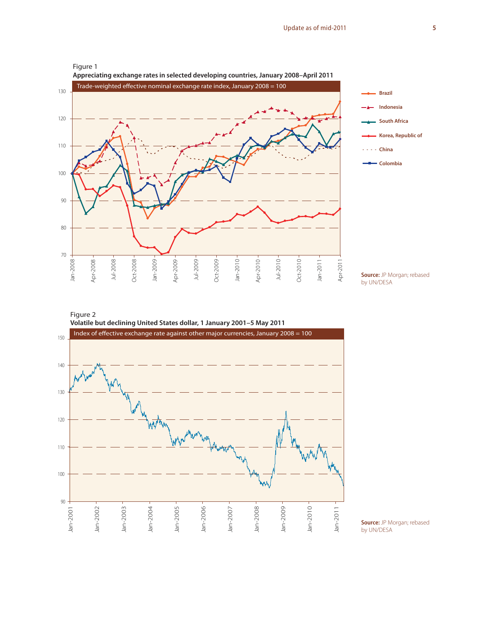







**Source:** JP Morgan; rebased by UN/DESA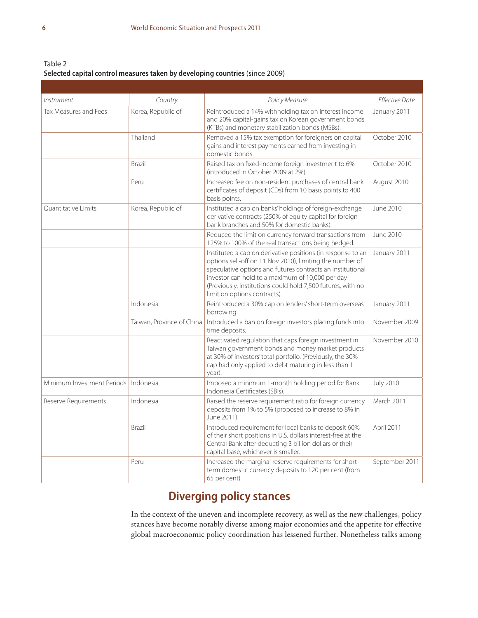Table 2 **Selected capital control measures taken by developing countries** (since 2009)

| Instrument                             | Country                   | Policy Measure                                                                                                                                                                                                                                                                                                                           | <b>Effective Date</b> |
|----------------------------------------|---------------------------|------------------------------------------------------------------------------------------------------------------------------------------------------------------------------------------------------------------------------------------------------------------------------------------------------------------------------------------|-----------------------|
| Tax Measures and Fees                  | Korea, Republic of        | Reintroduced a 14% withholding tax on interest income<br>and 20% capital-gains tax on Korean government bonds<br>(KTBs) and monetary stabilization bonds (MSBs).                                                                                                                                                                         | January 2011          |
|                                        | Thailand                  | Removed a 15% tax exemption for foreigners on capital<br>gains and interest payments earned from investing in<br>domestic bonds.                                                                                                                                                                                                         | October 2010          |
|                                        | Brazil                    | Raised tax on fixed-income foreign investment to 6%<br>(introduced in October 2009 at 2%).                                                                                                                                                                                                                                               | October 2010          |
|                                        | Peru                      | Increased fee on non-resident purchases of central bank<br>certificates of deposit (CDs) from 10 basis points to 400<br>basis points.                                                                                                                                                                                                    | August 2010           |
| Quantitative Limits                    | Korea, Republic of        | Instituted a cap on banks' holdings of foreign-exchange<br>derivative contracts (250% of equity capital for foreign<br>bank branches and 50% for domestic banks).                                                                                                                                                                        | June 2010             |
|                                        |                           | Reduced the limit on currency forward transactions from<br>125% to 100% of the real transactions being hedged.                                                                                                                                                                                                                           | June 2010             |
|                                        |                           | Instituted a cap on derivative positions (in response to an<br>options sell-off on 11 Nov 2010), limiting the number of<br>speculative options and futures contracts an institutional<br>investor can hold to a maximum of 10,000 per day<br>(Previously, institutions could hold 7,500 futures, with no<br>limit on options contracts). | January 2011          |
|                                        | Indonesia                 | Reintroduced a 30% cap on lenders' short-term overseas<br>borrowing.                                                                                                                                                                                                                                                                     | January 2011          |
|                                        | Taiwan, Province of China | Introduced a ban on foreign investors placing funds into<br>time deposits.                                                                                                                                                                                                                                                               | November 2009         |
|                                        |                           | Reactivated regulation that caps foreign investment in<br>Taiwan government bonds and money market products<br>at 30% of investors' total portfolio. (Previously, the 30%<br>cap had only applied to debt maturing in less than 1<br>year).                                                                                              | November 2010         |
| Minimum Investment Periods   Indonesia |                           | Imposed a minimum 1-month holding period for Bank<br>Indonesia Certificates (SBIs).                                                                                                                                                                                                                                                      | <b>July 2010</b>      |
| Reserve Requirements                   | Indonesia                 | Raised the reserve requirement ratio for foreign currency<br>deposits from 1% to 5% (proposed to increase to 8% in<br>June 2011).                                                                                                                                                                                                        | March 2011            |
|                                        | Brazil                    | Introduced requirement for local banks to deposit 60%<br>of their short positions in U.S. dollars interest-free at the<br>Central Bank after deducting 3 billion dollars or their<br>capital base, whichever is smaller.                                                                                                                 | April 2011            |
|                                        | Peru                      | Increased the marginal reserve requirements for short-<br>term domestic currency deposits to 120 per cent (from<br>65 per cent)                                                                                                                                                                                                          | September 2011        |

#### **Diverging policy stances**

In the context of the uneven and incomplete recovery, as well as the new challenges, policy stances have become notably diverse among major economies and the appetite for effective global macroeconomic policy coordination has lessened further. Nonetheless talks among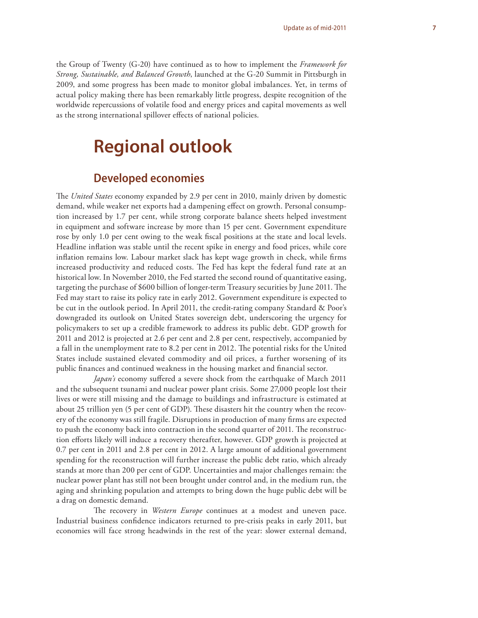the Group of Twenty (G-20) have continued as to how to implement the *Framework for Strong, Sustainable, and Balanced Growth*, launched at the G-20 Summit in Pittsburgh in 2009, and some progress has been made to monitor global imbalances. Yet, in terms of actual policy making there has been remarkably little progress, despite recognition of the worldwide repercussions of volatile food and energy prices and capital movements as well as the strong international spillover effects of national policies.

## **Regional outlook**

#### **Developed economies**

The *United States* economy expanded by 2.9 per cent in 2010, mainly driven by domestic demand, while weaker net exports had a dampening effect on growth. Personal consumption increased by 1.7 per cent, while strong corporate balance sheets helped investment in equipment and software increase by more than 15 per cent. Government expenditure rose by only 1.0 per cent owing to the weak fiscal positions at the state and local levels. Headline inflation was stable until the recent spike in energy and food prices, while core inflation remains low. Labour market slack has kept wage growth in check, while firms increased productivity and reduced costs. The Fed has kept the federal fund rate at an historical low. In November 2010, the Fed started the second round of quantitative easing, targeting the purchase of \$600 billion of longer-term Treasury securities by June 2011. The Fed may start to raise its policy rate in early 2012. Government expenditure is expected to be cut in the outlook period. In April 2011, the credit-rating company Standard & Poor's downgraded its outlook on United States sovereign debt, underscoring the urgency for policymakers to set up a credible framework to address its public debt. GDP growth for 2011 and 2012 is projected at 2.6 per cent and 2.8 per cent, respectively, accompanied by a fall in the unemployment rate to 8.2 per cent in 2012. The potential risks for the United States include sustained elevated commodity and oil prices, a further worsening of its public finances and continued weakness in the housing market and financial sector.

*Japan's* economy suffered a severe shock from the earthquake of March 2011 and the subsequent tsunami and nuclear power plant crisis. Some 27,000 people lost their lives or were still missing and the damage to buildings and infrastructure is estimated at about 25 trillion yen (5 per cent of GDP). These disasters hit the country when the recovery of the economy was still fragile. Disruptions in production of many firms are expected to push the economy back into contraction in the second quarter of 2011. The reconstruction efforts likely will induce a recovery thereafter, however. GDP growth is projected at 0.7 per cent in 2011 and 2.8 per cent in 2012. A large amount of additional government spending for the reconstruction will further increase the public debt ratio, which already stands at more than 200 per cent of GDP. Uncertainties and major challenges remain: the nuclear power plant has still not been brought under control and, in the medium run, the aging and shrinking population and attempts to bring down the huge public debt will be a drag on domestic demand.

The recovery in *Western Europe* continues at a modest and uneven pace. Industrial business confidence indicators returned to pre-crisis peaks in early 2011, but economies will face strong headwinds in the rest of the year: slower external demand,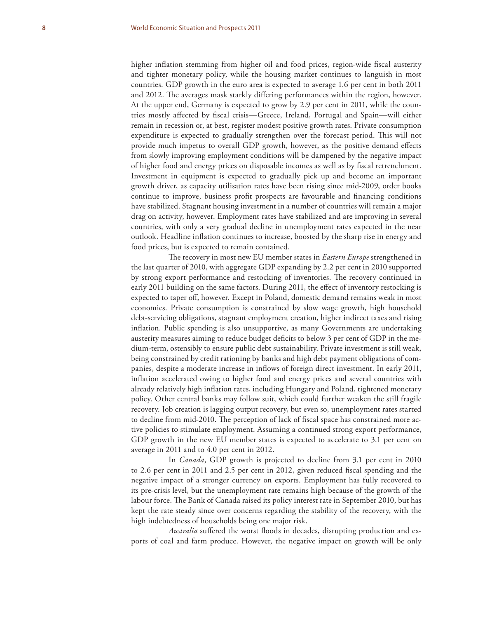higher inflation stemming from higher oil and food prices, region-wide fiscal austerity and tighter monetary policy, while the housing market continues to languish in most countries. GDP growth in the euro area is expected to average 1.6 per cent in both 2011 and 2012. The averages mask starkly differing performances within the region, however. At the upper end, Germany is expected to grow by 2.9 per cent in 2011, while the countries mostly affected by fiscal crisis—Greece, Ireland, Portugal and Spain—will either remain in recession or, at best, register modest positive growth rates. Private consumption expenditure is expected to gradually strengthen over the forecast period. This will not provide much impetus to overall GDP growth, however, as the positive demand effects from slowly improving employment conditions will be dampened by the negative impact of higher food and energy prices on disposable incomes as well as by fiscal retrenchment. Investment in equipment is expected to gradually pick up and become an important growth driver, as capacity utilisation rates have been rising since mid-2009, order books continue to improve, business profit prospects are favourable and financing conditions have stabilized. Stagnant housing investment in a number of countries will remain a major drag on activity, however. Employment rates have stabilized and are improving in several countries, with only a very gradual decline in unemployment rates expected in the near outlook. Headline inflation continues to increase, boosted by the sharp rise in energy and food prices, but is expected to remain contained.

The recovery in most new EU member states in *Eastern Europe* strengthened in the last quarter of 2010, with aggregate GDP expanding by 2.2 per cent in 2010 supported by strong export performance and restocking of inventories. The recovery continued in early 2011 building on the same factors. During 2011, the effect of inventory restocking is expected to taper off, however. Except in Poland, domestic demand remains weak in most economies. Private consumption is constrained by slow wage growth, high household debt-servicing obligations, stagnant employment creation, higher indirect taxes and rising inflation. Public spending is also unsupportive, as many Governments are undertaking austerity measures aiming to reduce budget deficits to below 3 per cent of GDP in the medium-term, ostensibly to ensure public debt sustainability. Private investment is still weak, being constrained by credit rationing by banks and high debt payment obligations of companies, despite a moderate increase in inflows of foreign direct investment. In early 2011, inflation accelerated owing to higher food and energy prices and several countries with already relatively high inflation rates, including Hungary and Poland, tightened monetary policy. Other central banks may follow suit, which could further weaken the still fragile recovery. Job creation is lagging output recovery, but even so, unemployment rates started to decline from mid-2010. The perception of lack of fiscal space has constrained more active policies to stimulate employment. Assuming a continued strong export performance, GDP growth in the new EU member states is expected to accelerate to 3.1 per cent on average in 2011 and to 4.0 per cent in 2012.

In *Canada*, GDP growth is projected to decline from 3.1 per cent in 2010 to 2.6 per cent in 2011 and 2.5 per cent in 2012, given reduced fiscal spending and the negative impact of a stronger currency on exports. Employment has fully recovered to its pre-crisis level, but the unemployment rate remains high because of the growth of the labour force. The Bank of Canada raised its policy interest rate in September 2010, but has kept the rate steady since over concerns regarding the stability of the recovery, with the high indebtedness of households being one major risk.

Australia suffered the worst floods in decades, disrupting production and exports of coal and farm produce. However, the negative impact on growth will be only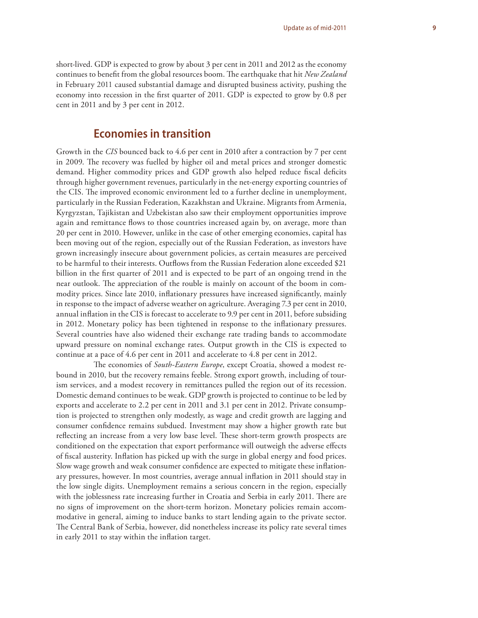short-lived. GDP is expected to grow by about 3 per cent in 2011 and 2012 as the economy continues to benefit from the global resources boom. The earthquake that hit *New Zealand* in February 2011 caused substantial damage and disrupted business activity, pushing the economy into recession in the first quarter of 2011. GDP is expected to grow by 0.8 per cent in 2011 and by 3 per cent in 2012.

#### **Economies in transition**

Growth in the *CIS* bounced back to 4.6 per cent in 2010 after a contraction by 7 per cent in 2009. The recovery was fuelled by higher oil and metal prices and stronger domestic demand. Higher commodity prices and GDP growth also helped reduce fiscal deficits through higher government revenues, particularly in the net-energy exporting countries of the CIS. The improved economic environment led to a further decline in unemployment, particularly in the Russian Federation, Kazakhstan and Ukraine. Migrants from Armenia, Kyrgyzstan, Tajikistan and Uzbekistan also saw their employment opportunities improve again and remittance flows to those countries increased again by, on average, more than 20 per cent in 2010. However, unlike in the case of other emerging economies, capital has been moving out of the region, especially out of the Russian Federation, as investors have grown increasingly insecure about government policies, as certain measures are perceived to be harmful to their interests. Outflows from the Russian Federation alone exceeded \$21 billion in the first quarter of 2011 and is expected to be part of an ongoing trend in the near outlook. The appreciation of the rouble is mainly on account of the boom in commodity prices. Since late 2010, inflationary pressures have increased significantly, mainly in response to the impact of adverse weather on agriculture. Averaging 7.3 per cent in 2010, annual inflation in the CIS is forecast to accelerate to 9.9 per cent in 2011, before subsiding in 2012. Monetary policy has been tightened in response to the inflationary pressures. Several countries have also widened their exchange rate trading bands to accommodate upward pressure on nominal exchange rates. Output growth in the CIS is expected to continue at a pace of 4.6 per cent in 2011 and accelerate to 4.8 per cent in 2012.

The economies of *South-Eastern Europe*, except Croatia, showed a modest rebound in 2010, but the recovery remains feeble. Strong export growth, including of tourism services, and a modest recovery in remittances pulled the region out of its recession. Domestic demand continues to be weak. GDP growth is projected to continue to be led by exports and accelerate to 2.2 per cent in 2011 and 3.1 per cent in 2012. Private consumption is projected to strengthen only modestly, as wage and credit growth are lagging and consumer confidence remains subdued. Investment may show a higher growth rate but reflecting an increase from a very low base level. These short-term growth prospects are conditioned on the expectation that export performance will outweigh the adverse effects of fiscal austerity. Inflation has picked up with the surge in global energy and food prices. Slow wage growth and weak consumer confidence are expected to mitigate these inflationary pressures, however. In most countries, average annual inflation in 2011 should stay in the low single digits. Unemployment remains a serious concern in the region, especially with the joblessness rate increasing further in Croatia and Serbia in early 2011. There are no signs of improvement on the short-term horizon. Monetary policies remain accommodative in general, aiming to induce banks to start lending again to the private sector. The Central Bank of Serbia, however, did nonetheless increase its policy rate several times in early 2011 to stay within the inflation target.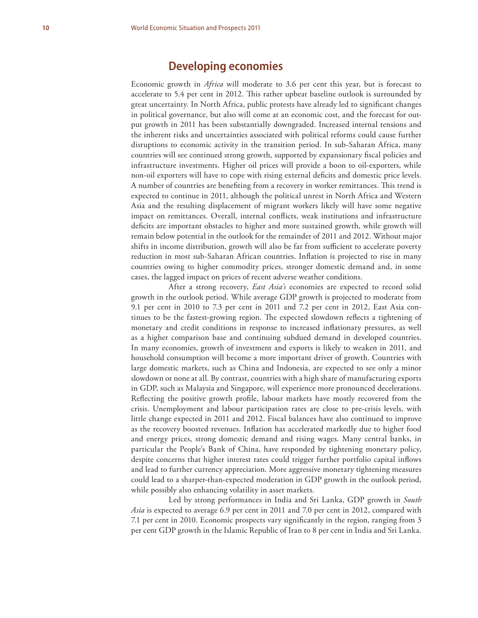#### **Developing economies**

Economic growth in *Africa* will moderate to 3.6 per cent this year, but is forecast to accelerate to 5.4 per cent in 2012. This rather upbeat baseline outlook is surrounded by great uncertainty. In North Africa, public protests have already led to significant changes in political governance, but also will come at an economic cost, and the forecast for output growth in 2011 has been substantially downgraded. Increased internal tensions and the inherent risks and uncertainties associated with political reforms could cause further disruptions to economic activity in the transition period. In sub-Saharan Africa, many countries will see continued strong growth, supported by expansionary fiscal policies and infrastructure investments. Higher oil prices will provide a boon to oil-exporters, while non-oil exporters will have to cope with rising external deficits and domestic price levels. A number of countries are benefiting from a recovery in worker remittances. This trend is expected to continue in 2011, although the political unrest in North Africa and Western Asia and the resulting displacement of migrant workers likely will have some negative impact on remittances. Overall, internal conflicts, weak institutions and infrastructure deficits are important obstacles to higher and more sustained growth, while growth will remain below potential in the outlook for the remainder of 2011 and 2012. Without major shifts in income distribution, growth will also be far from sufficient to accelerate poverty reduction in most sub-Saharan African countries. Inflation is projected to rise in many countries owing to higher commodity prices, stronger domestic demand and, in some cases, the lagged impact on prices of recent adverse weather conditions.

After a strong recovery, *East Asia's* economies are expected to record solid growth in the outlook period. While average GDP growth is projected to moderate from 9.1 per cent in 2010 to 7.3 per cent in 2011 and 7.2 per cent in 2012, East Asia continues to be the fastest-growing region. The expected slowdown reflects a tightening of monetary and credit conditions in response to increased inflationary pressures, as well as a higher comparison base and continuing subdued demand in developed countries. In many economies, growth of investment and exports is likely to weaken in 2011, and household consumption will become a more important driver of growth. Countries with large domestic markets, such as China and Indonesia, are expected to see only a minor slowdown or none at all. By contrast, countries with a high share of manufacturing exports in GDP, such as Malaysia and Singapore, will experience more pronounced decelerations. Reflecting the positive growth profile, labour markets have mostly recovered from the crisis. Unemployment and labour participation rates are close to pre-crisis levels, with little change expected in 2011 and 2012. Fiscal balances have also continued to improve as the recovery boosted revenues. Inflation has accelerated markedly due to higher food and energy prices, strong domestic demand and rising wages. Many central banks, in particular the People's Bank of China, have responded by tightening monetary policy, despite concerns that higher interest rates could trigger further portfolio capital inflows and lead to further currency appreciation. More aggressive monetary tightening measures could lead to a sharper-than-expected moderation in GDP growth in the outlook period, while possibly also enhancing volatility in asset markets.

Led by strong performances in India and Sri Lanka, GDP growth in *South Asia* is expected to average 6.9 per cent in 2011 and 7.0 per cent in 2012, compared with 7.1 per cent in 2010. Economic prospects vary significantly in the region, ranging from 3 per cent GDP growth in the Islamic Republic of Iran to 8 per cent in India and Sri Lanka.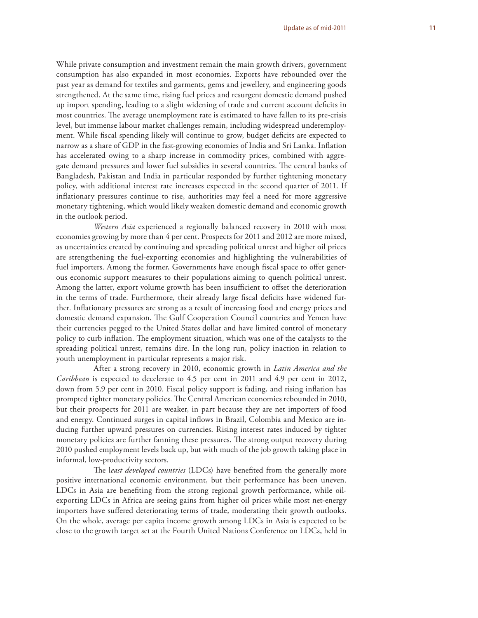#### While private consumption and investment remain the main growth drivers, government consumption has also expanded in most economies. Exports have rebounded over the past year as demand for textiles and garments, gems and jewellery, and engineering goods strengthened. At the same time, rising fuel prices and resurgent domestic demand pushed up import spending, leading to a slight widening of trade and current account deficits in most countries. The average unemployment rate is estimated to have fallen to its pre-crisis level, but immense labour market challenges remain, including widespread underemployment. While fiscal spending likely will continue to grow, budget deficits are expected to narrow as a share of GDP in the fast-growing economies of India and Sri Lanka. Inflation has accelerated owing to a sharp increase in commodity prices, combined with aggregate demand pressures and lower fuel subsidies in several countries. The central banks of Bangladesh, Pakistan and India in particular responded by further tightening monetary policy, with additional interest rate increases expected in the second quarter of 2011. If inflationary pressures continue to rise, authorities may feel a need for more aggressive monetary tightening, which would likely weaken domestic demand and economic growth in the outlook period.

*Western Asia* experienced a regionally balanced recovery in 2010 with most economies growing by more than 4 per cent. Prospects for 2011 and 2012 are more mixed, as uncertainties created by continuing and spreading political unrest and higher oil prices are strengthening the fuel-exporting economies and highlighting the vulnerabilities of fuel importers. Among the former, Governments have enough fiscal space to offer generous economic support measures to their populations aiming to quench political unrest. Among the latter, export volume growth has been insufficient to offset the deterioration in the terms of trade. Furthermore, their already large fiscal deficits have widened further. Inflationary pressures are strong as a result of increasing food and energy prices and domestic demand expansion. The Gulf Cooperation Council countries and Yemen have their currencies pegged to the United States dollar and have limited control of monetary policy to curb inflation. The employment situation, which was one of the catalysts to the spreading political unrest, remains dire. In the long run, policy inaction in relation to youth unemployment in particular represents a major risk.

After a strong recovery in 2010, economic growth in *Latin America and the Caribbean* is expected to decelerate to 4.5 per cent in 2011 and 4.9 per cent in 2012, down from 5.9 per cent in 2010. Fiscal policy support is fading, and rising inflation has prompted tighter monetary policies. The Central American economies rebounded in 2010, but their prospects for 2011 are weaker, in part because they are net importers of food and energy. Continued surges in capital inflows in Brazil, Colombia and Mexico are inducing further upward pressures on currencies. Rising interest rates induced by tighter monetary policies are further fanning these pressures. The strong output recovery during 2010 pushed employment levels back up, but with much of the job growth taking place in informal, low-productivity sectors.

The least developed countries (LDCs) have benefited from the generally more positive international economic environment, but their performance has been uneven. LDCs in Asia are benefiting from the strong regional growth performance, while oilexporting LDCs in Africa are seeing gains from higher oil prices while most net-energy importers have suffered deteriorating terms of trade, moderating their growth outlooks. On the whole, average per capita income growth among LDCs in Asia is expected to be close to the growth target set at the Fourth United Nations Conference on LDCs, held in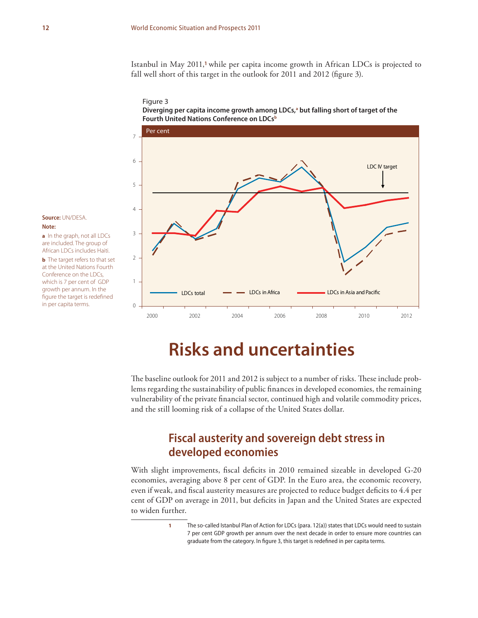Istanbul in May 2011,**<sup>1</sup>** while per capita income growth in African LDCs is projected to fall well short of this target in the outlook for 2011 and 2012 (figure 3).





#### **Source:** UN/DESA. **Note:**

**a** In the graph, not all LDCs are included. The group of African LDCs includes Haiti. **b** The target refers to that set at the United Nations Fourth

Conference on the LDCs, which is 7 per cent of GDP growth per annum. In the figure the target is redefined in per capita terms.

## **Risks and uncertainties**

The baseline outlook for 2011 and 2012 is subject to a number of risks. These include problems regarding the sustainability of public finances in developed economies, the remaining vulnerability of the private financial sector, continued high and volatile commodity prices, and the still looming risk of a collapse of the United States dollar.

#### **Fiscal austerity and sovereign debt stress in developed economies**

With slight improvements, fiscal deficits in 2010 remained sizeable in developed G-20 economies, averaging above 8 per cent of GDP. In the Euro area, the economic recovery, even if weak, and fiscal austerity measures are projected to reduce budget deficits to 4.4 per cent of GDP on average in 2011, but deficits in Japan and the United States are expected to widen further.

> **1** The so-called Istanbul Plan of Action for LDCs (para. 12(a)) states that LDCs would need to sustain 7 per cent GDP growth per annum over the next decade in order to ensure more countries can graduate from the category. In figure 3, this target is redefined in per capita terms.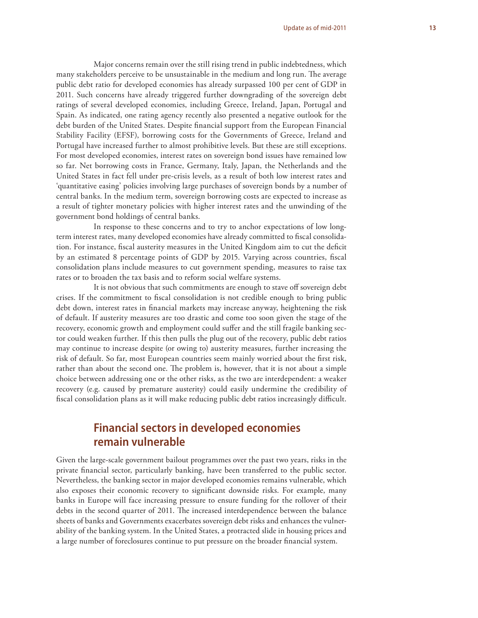Major concerns remain over the still rising trend in public indebtedness, which many stakeholders perceive to be unsustainable in the medium and long run. The average public debt ratio for developed economies has already surpassed 100 per cent of GDP in 2011. Such concerns have already triggered further downgrading of the sovereign debt ratings of several developed economies, including Greece, Ireland, Japan, Portugal and Spain. As indicated, one rating agency recently also presented a negative outlook for the debt burden of the United States. Despite financial support from the European Financial Stability Facility (EFSF), borrowing costs for the Governments of Greece, Ireland and Portugal have increased further to almost prohibitive levels. But these are still exceptions. For most developed economies, interest rates on sovereign bond issues have remained low so far. Net borrowing costs in France, Germany, Italy, Japan, the Netherlands and the United States in fact fell under pre-crisis levels, as a result of both low interest rates and 'quantitative easing' policies involving large purchases of sovereign bonds by a number of central banks. In the medium term, sovereign borrowing costs are expected to increase as a result of tighter monetary policies with higher interest rates and the unwinding of the government bond holdings of central banks.

In response to these concerns and to try to anchor expectations of low longterm interest rates, many developed economies have already committed to fiscal consolidation. For instance, fiscal austerity measures in the United Kingdom aim to cut the deficit by an estimated 8 percentage points of GDP by 2015. Varying across countries, fiscal consolidation plans include measures to cut government spending, measures to raise tax rates or to broaden the tax basis and to reform social welfare systems.

It is not obvious that such commitments are enough to stave off sovereign debt crises. If the commitment to fiscal consolidation is not credible enough to bring public debt down, interest rates in financial markets may increase anyway, heightening the risk of default. If austerity measures are too drastic and come too soon given the stage of the recovery, economic growth and employment could suffer and the still fragile banking sector could weaken further. If this then pulls the plug out of the recovery, public debt ratios may continue to increase despite (or owing to) austerity measures, further increasing the risk of default. So far, most European countries seem mainly worried about the first risk, rather than about the second one. The problem is, however, that it is not about a simple choice between addressing one or the other risks, as the two are interdependent: a weaker recovery (e.g. caused by premature austerity) could easily undermine the credibility of fiscal consolidation plans as it will make reducing public debt ratios increasingly difficult.

#### **Financial sectors in developed economies remain vulnerable**

Given the large-scale government bailout programmes over the past two years, risks in the private financial sector, particularly banking, have been transferred to the public sector. Nevertheless, the banking sector in major developed economies remains vulnerable, which also exposes their economic recovery to significant downside risks. For example, many banks in Europe will face increasing pressure to ensure funding for the rollover of their debts in the second quarter of 2011. The increased interdependence between the balance sheets of banks and Governments exacerbates sovereign debt risks and enhances the vulnerability of the banking system. In the United States, a protracted slide in housing prices and a large number of foreclosures continue to put pressure on the broader financial system.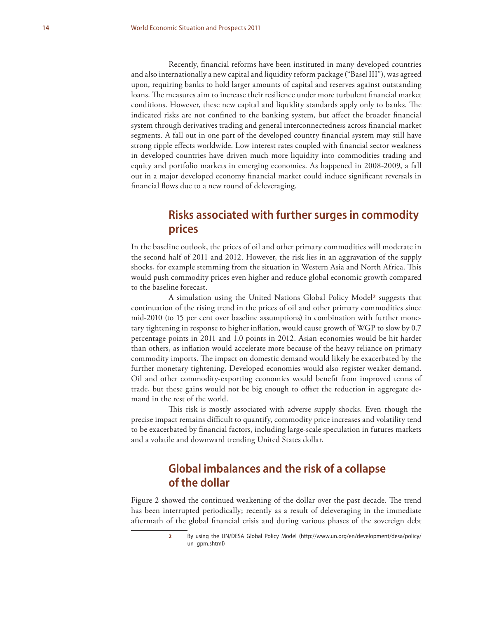Recently, financial reforms have been instituted in many developed countries and also internationally a new capital and liquidity reform package ("Basel III"), was agreed upon, requiring banks to hold larger amounts of capital and reserves against outstanding loans. The measures aim to increase their resilience under more turbulent financial market conditions. However, these new capital and liquidity standards apply only to banks. The indicated risks are not confined to the banking system, but affect the broader financial system through derivatives trading and general interconnectedness across financial market segments. A fall out in one part of the developed country financial system may still have strong ripple effects worldwide. Low interest rates coupled with financial sector weakness in developed countries have driven much more liquidity into commodities trading and equity and portfolio markets in emerging economies. As happened in 2008-2009, a fall out in a major developed economy financial market could induce significant reversals in financial flows due to a new round of deleveraging.

#### **Risks associated with further surges in commodity prices**

In the baseline outlook, the prices of oil and other primary commodities will moderate in the second half of 2011 and 2012. However, the risk lies in an aggravation of the supply shocks, for example stemming from the situation in Western Asia and North Africa. This would push commodity prices even higher and reduce global economic growth compared to the baseline forecast.

A simulation using the United Nations Global Policy Model**2** suggests that continuation of the rising trend in the prices of oil and other primary commodities since mid-2010 (to 15 per cent over baseline assumptions) in combination with further monetary tightening in response to higher inflation, would cause growth of WGP to slow by 0.7 percentage points in 2011 and 1.0 points in 2012. Asian economies would be hit harder than others, as inflation would accelerate more because of the heavy reliance on primary commodity imports. The impact on domestic demand would likely be exacerbated by the further monetary tightening. Developed economies would also register weaker demand. Oil and other commodity-exporting economies would benefi t from improved terms of trade, but these gains would not be big enough to offset the reduction in aggregate demand in the rest of the world.

This risk is mostly associated with adverse supply shocks. Even though the precise impact remains difficult to quantify, commodity price increases and volatility tend to be exacerbated by financial factors, including large-scale speculation in futures markets and a volatile and downward trending United States dollar.

#### **Global imbalances and the risk of a collapse of the dollar**

Figure 2 showed the continued weakening of the dollar over the past decade. The trend has been interrupted periodically; recently as a result of deleveraging in the immediate aftermath of the global financial crisis and during various phases of the sovereign debt

**<sup>2</sup>** By using the UN/DESA Global Policy Model (http://www.un.org/en/development/desa/policy/ un\_gpm.shtml)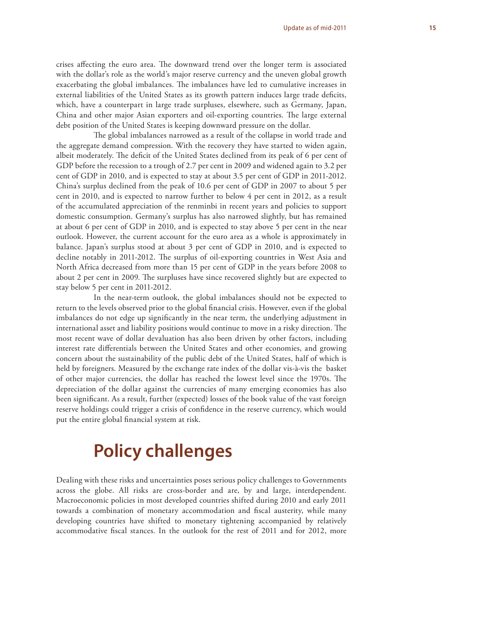crises affecting the euro area. The downward trend over the longer term is associated with the dollar's role as the world's major reserve currency and the uneven global growth exacerbating the global imbalances. The imbalances have led to cumulative increases in external liabilities of the United States as its growth pattern induces large trade deficits, which, have a counterpart in large trade surpluses, elsewhere, such as Germany, Japan, China and other major Asian exporters and oil-exporting countries. The large external debt position of the United States is keeping downward pressure on the dollar.

The global imbalances narrowed as a result of the collapse in world trade and the aggregate demand compression. With the recovery they have started to widen again, albeit moderately. The deficit of the United States declined from its peak of 6 per cent of GDP before the recession to a trough of 2.7 per cent in 2009 and widened again to 3.2 per cent of GDP in 2010, and is expected to stay at about 3.5 per cent of GDP in 2011-2012. China's surplus declined from the peak of 10.6 per cent of GDP in 2007 to about 5 per cent in 2010, and is expected to narrow further to below 4 per cent in 2012, as a result of the accumulated appreciation of the renminbi in recent years and policies to support domestic consumption. Germany's surplus has also narrowed slightly, but has remained at about 6 per cent of GDP in 2010, and is expected to stay above 5 per cent in the near outlook. However, the current account for the euro area as a whole is approximately in balance. Japan's surplus stood at about 3 per cent of GDP in 2010, and is expected to decline notably in 2011-2012. The surplus of oil-exporting countries in West Asia and North Africa decreased from more than 15 per cent of GDP in the years before 2008 to about 2 per cent in 2009. The surpluses have since recovered slightly but are expected to stay below 5 per cent in 2011-2012.

In the near-term outlook, the global imbalances should not be expected to return to the levels observed prior to the global financial crisis. However, even if the global imbalances do not edge up significantly in the near term, the underlying adjustment in international asset and liability positions would continue to move in a risky direction. The most recent wave of dollar devaluation has also been driven by other factors, including interest rate differentials between the United States and other economies, and growing concern about the sustainability of the public debt of the United States, half of which is held by foreigners. Measured by the exchange rate index of the dollar vis-à-vis the basket of other major currencies, the dollar has reached the lowest level since the 1970s. The depreciation of the dollar against the currencies of many emerging economies has also been significant. As a result, further (expected) losses of the book value of the vast foreign reserve holdings could trigger a crisis of confidence in the reserve currency, which would put the entire global financial system at risk.

## **Policy challenges**

Dealing with these risks and uncertainties poses serious policy challenges to Governments across the globe. All risks are cross-border and are, by and large, interdependent. Macroeconomic policies in most developed countries shifted during 2010 and early 2011 towards a combination of monetary accommodation and fiscal austerity, while many developing countries have shifted to monetary tightening accompanied by relatively accommodative fiscal stances. In the outlook for the rest of 2011 and for 2012, more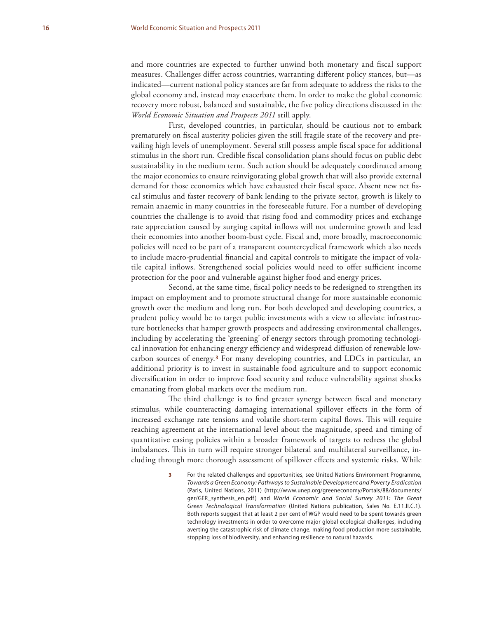and more countries are expected to further unwind both monetary and fiscal support measures. Challenges differ across countries, warranting different policy stances, but—as indicated—current national policy stances are far from adequate to address the risks to the global economy and, instead may exacerbate them. In order to make the global economic recovery more robust, balanced and sustainable, the five policy directions discussed in the *World Economic Situation and Prospects 2011* still apply.

First, developed countries, in particular, should be cautious not to embark prematurely on fiscal austerity policies given the still fragile state of the recovery and prevailing high levels of unemployment. Several still possess ample fiscal space for additional stimulus in the short run. Credible fiscal consolidation plans should focus on public debt sustainability in the medium term. Such action should be adequately coordinated among the major economies to ensure reinvigorating global growth that will also provide external demand for those economies which have exhausted their fiscal space. Absent new net fiscal stimulus and faster recovery of bank lending to the private sector, growth is likely to remain anaemic in many countries in the foreseeable future. For a number of developing countries the challenge is to avoid that rising food and commodity prices and exchange rate appreciation caused by surging capital inflows will not undermine growth and lead their economies into another boom-bust cycle. Fiscal and, more broadly, macroeconomic policies will need to be part of a transparent countercyclical framework which also needs to include macro-prudential financial and capital controls to mitigate the impact of volatile capital inflows. Strengthened social policies would need to offer sufficient income protection for the poor and vulnerable against higher food and energy prices.

Second, at the same time, fiscal policy needs to be redesigned to strengthen its impact on employment and to promote structural change for more sustainable economic growth over the medium and long run. For both developed and developing countries, a prudent policy would be to target public investments with a view to alleviate infrastructure bottlenecks that hamper growth prospects and addressing environmental challenges, including by accelerating the 'greening' of energy sectors through promoting technological innovation for enhancing energy efficiency and widespread diffusion of renewable lowcarbon sources of energy.**3** For many developing countries, and LDCs in particular, an additional priority is to invest in sustainable food agriculture and to support economic diversification in order to improve food security and reduce vulnerability against shocks emanating from global markets over the medium run.

The third challenge is to find greater synergy between fiscal and monetary stimulus, while counteracting damaging international spillover effects in the form of increased exchange rate tensions and volatile short-term capital flows. This will require reaching agreement at the international level about the magnitude, speed and timing of quantitative easing policies within a broader framework of targets to redress the global imbalances. This in turn will require stronger bilateral and multilateral surveillance, including through more thorough assessment of spillover effects and systemic risks. While

> **3** For the related challenges and opportunities, see United Nations Environment Programme, *Towards a Green Economy: Pathways to Sustainable Development and Poverty Eradication* (Paris, United Nations, 2011) (http://www.unep.org/greeneconomy/Portals/88/documents/ ger/GER\_synthesis\_en.pdf) and *World Economic and Social Survey 2011: The Great Green Technological Transformation* (United Nations publication, Sales No. E.11.II.C.1). Both reports suggest that at least 2 per cent of WGP would need to be spent towards green technology investments in order to overcome major global ecological challenges, including averting the catastrophic risk of climate change, making food production more sustainable, stopping loss of biodiversity, and enhancing resilience to natural hazards.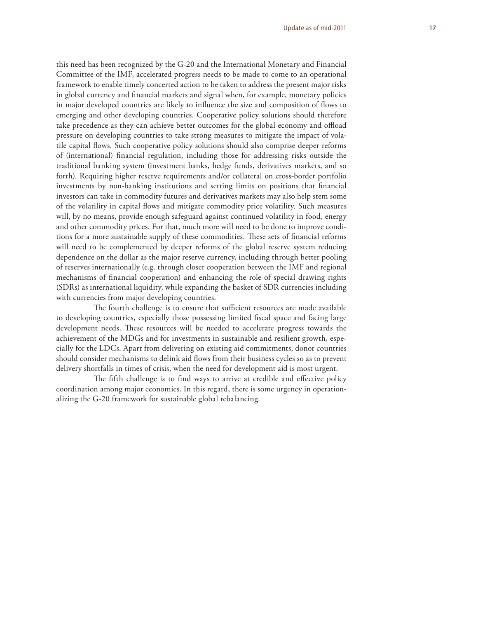this need has been recognized by the G-20 and the International Monetary and Financial Committee of the IMF, accelerated progress needs to be made to come to an operational framework to enable timely concerted action to be taken to address the present major risks in global currency and financial markets and signal when, for example, monetary policies in major developed countries are likely to influence the size and composition of flows to emerging and other developing countries. Cooperative policy solutions should therefore take precedence as they can achieve better outcomes for the global economy and offload pressure on developing countries to take strong measures to mitigate the impact of volatile capital flows. Such cooperative policy solutions should also comprise deeper reforms of (international) financial regulation, including those for addressing risks outside the traditional banking system (investment banks, hedge funds, derivatives markets, and so forth). Requiring higher reserve requirements and/or collateral on cross-border portfolio investments by non-banking institutions and setting limits on positions that financial investors can take in commodity futures and derivatives markets may also help stem some of the volatility in capital flows and mitigate commodity price volatility. Such measures will, by no means, provide enough safeguard against continued volatility in food, energy and other commodity prices. For that, much more will need to be done to improve conditions for a more sustainable supply of these commodities. These sets of financial reforms will need to be complemented by deeper reforms of the global reserve system reducing dependence on the dollar as the major reserve currency, including through better pooling of reserves internationally (e.g. through closer cooperation between the IMF and regional mechanisms of financial cooperation) and enhancing the role of special drawing rights (SDRs) as international liquidity, while expanding the basket of SDR currencies including with currencies from major developing countries.

The fourth challenge is to ensure that sufficient resources are made available to developing countries, especially those possessing limited fiscal space and facing large development needs. These resources will be needed to accelerate progress towards the achievement of the MDGs and for investments in sustainable and resilient growth, especially for the LDCs. Apart from delivering on existing aid commitments, donor countries should consider mechanisms to delink aid flows from their business cycles so as to prevent delivery shortfalls in times of crisis, when the need for development aid is most urgent.

The fifth challenge is to find ways to arrive at credible and effective policy coordination among major economies. In this regard, there is some urgency in operationalizing the G-20 framework for sustainable global rebalancing.